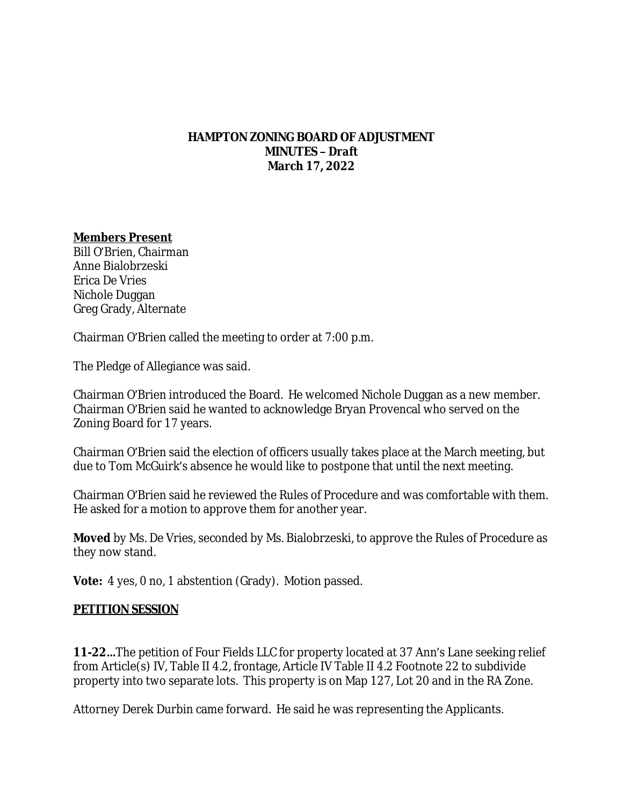### **HAMPTON ZONING BOARD OF ADJUSTMENT MINUTES –** *Draft* **March 17, 2022**

### **Members Present**

Bill O'Brien, Chairman Anne Bialobrzeski Erica De Vries Nichole Duggan Greg Grady, Alternate

Chairman O'Brien called the meeting to order at 7:00 p.m.

The Pledge of Allegiance was said.

Chairman O'Brien introduced the Board. He welcomed Nichole Duggan as a new member. Chairman O'Brien said he wanted to acknowledge Bryan Provencal who served on the Zoning Board for 17 years.

Chairman O'Brien said the election of officers usually takes place at the March meeting, but due to Tom McGuirk's absence he would like to postpone that until the next meeting.

Chairman O'Brien said he reviewed the Rules of Procedure and was comfortable with them. He asked for a motion to approve them for another year.

**Moved** by Ms. De Vries, seconded by Ms. Bialobrzeski, to approve the Rules of Procedure as they now stand.

**Vote:** 4 yes, 0 no, 1 abstention (Grady). Motion passed.

# **PETITION SESSION**

**11-22…**The petition of Four Fields LLC for property located at 37 Ann's Lane seeking relief from Article(s) IV, Table II 4.2, frontage, Article IV Table II 4.2 Footnote 22 to subdivide property into two separate lots. This property is on Map 127, Lot 20 and in the RA Zone.

Attorney Derek Durbin came forward. He said he was representing the Applicants.